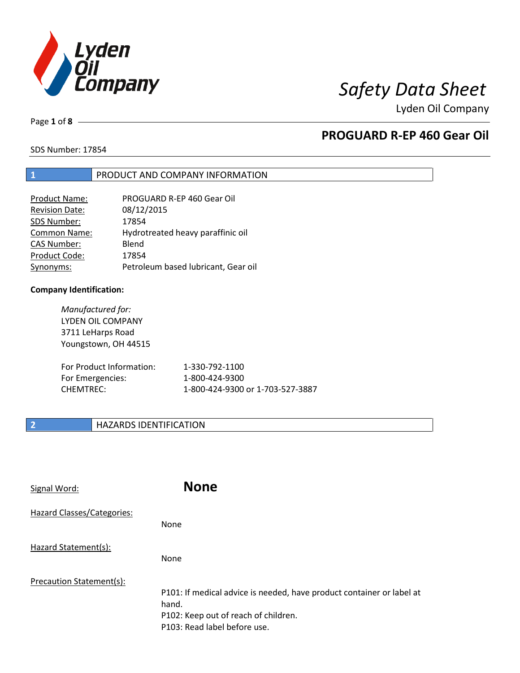

Page **1** of **8**

## **PROGUARD R-EP 460 Gear Oil**

SDS Number: 17854

### **1** PRODUCT AND COMPANY INFORMATION

| PROGUARD R-EP 460 Gear Oil          |
|-------------------------------------|
| 08/12/2015                          |
| 17854                               |
| Hydrotreated heavy paraffinic oil   |
| Blend                               |
| 17854                               |
| Petroleum based lubricant, Gear oil |
|                                     |

### **Company Identification:**

*Manufactured for:* LYDEN OIL COMPANY 3711 LeHarps Road Youngstown, OH 44515 For Product Information: 1-330-792-1100 For Emergencies: 1-800-424-9300 CHEMTREC: 1-800-424-9300 or 1-703-527-3887

## **2 HAZARDS IDENTIFICATION**

| Signal Word:               | <b>None</b>                                                                                                                                            |
|----------------------------|--------------------------------------------------------------------------------------------------------------------------------------------------------|
| Hazard Classes/Categories: | <b>None</b>                                                                                                                                            |
| Hazard Statement(s):       | None                                                                                                                                                   |
| Precaution Statement(s):   | P101: If medical advice is needed, have product container or label at<br>hand.<br>P102: Keep out of reach of children.<br>P103: Read label before use. |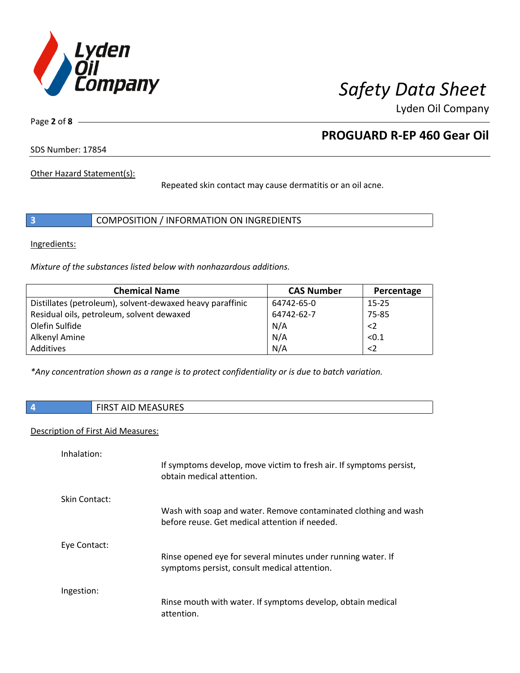

Page **2** of **8**

## **PROGUARD R-EP 460 Gear Oil**

SDS Number: 17854

Other Hazard Statement(s):

Repeated skin contact may cause dermatitis or an oil acne.

|  | COMPOSITION / INFORMATION ON INGREDIENTS |  |
|--|------------------------------------------|--|
|--|------------------------------------------|--|

Ingredients:

*Mixture of the substances listed below with nonhazardous additions.*

| <b>Chemical Name</b>                                      | <b>CAS Number</b> | Percentage  |
|-----------------------------------------------------------|-------------------|-------------|
| Distillates (petroleum), solvent-dewaxed heavy paraffinic | 64742-65-0        | $15 - 25$   |
| Residual oils, petroleum, solvent dewaxed                 | 64742-62-7        | 75-85       |
| Olefin Sulfide                                            | N/A               | $<$ 2       |
| Alkenyl Amine                                             | N/A               | < 0.1       |
| Additives                                                 | N/A               | $\langle$ 2 |

*\*Any concentration shown as a range is to protect confidentiality or is due to batch variation.*

| $\vert$ 4<br><b>FIRST AID MEASURES</b> |
|----------------------------------------|
|----------------------------------------|

### Description of First Aid Measures:

| Inhalation:   | If symptoms develop, move victim to fresh air. If symptoms persist,<br>obtain medical attention.                  |
|---------------|-------------------------------------------------------------------------------------------------------------------|
| Skin Contact: | Wash with soap and water. Remove contaminated clothing and wash<br>before reuse. Get medical attention if needed. |
| Eye Contact:  | Rinse opened eye for several minutes under running water. If<br>symptoms persist, consult medical attention.      |
| Ingestion:    | Rinse mouth with water. If symptoms develop, obtain medical<br>attention.                                         |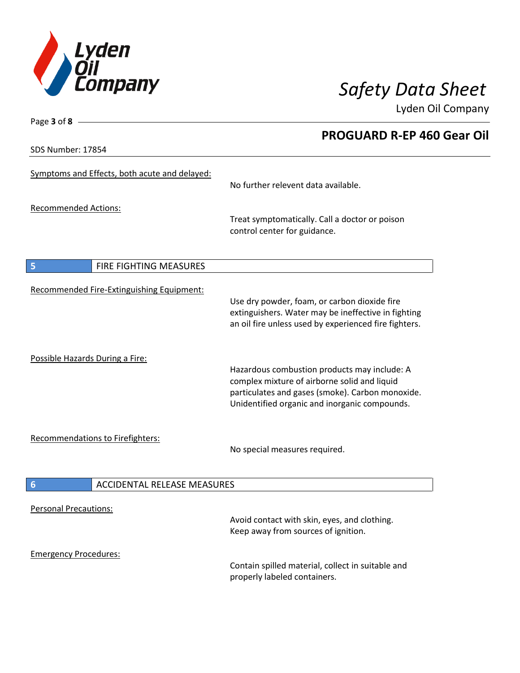

**PROGUARD R-EP 460 Gear Oil**

Lyden Oil Company

SDS Number: 17854

Page **3** of **8**

| Symptoms and Effects, both acute and delayed:         | No further relevent data available.                                                                                                                                                               |
|-------------------------------------------------------|---------------------------------------------------------------------------------------------------------------------------------------------------------------------------------------------------|
| <b>Recommended Actions:</b>                           | Treat symptomatically. Call a doctor or poison<br>control center for guidance.                                                                                                                    |
| FIRE FIGHTING MEASURES<br>5                           |                                                                                                                                                                                                   |
| Recommended Fire-Extinguishing Equipment:             | Use dry powder, foam, or carbon dioxide fire<br>extinguishers. Water may be ineffective in fighting<br>an oil fire unless used by experienced fire fighters.                                      |
| Possible Hazards During a Fire:                       | Hazardous combustion products may include: A<br>complex mixture of airborne solid and liquid<br>particulates and gases (smoke). Carbon monoxide.<br>Unidentified organic and inorganic compounds. |
| Recommendations to Firefighters:                      | No special measures required.                                                                                                                                                                     |
| <b>ACCIDENTAL RELEASE MEASURES</b><br>$6\phantom{1}6$ |                                                                                                                                                                                                   |
| <b>Personal Precautions:</b>                          | Avoid contact with skin, eyes, and clothing.<br>Keep away from sources of ignition.                                                                                                               |
| <b>Emergency Procedures:</b>                          | Contain spilled material, collect in suitable and<br>properly labeled containers.                                                                                                                 |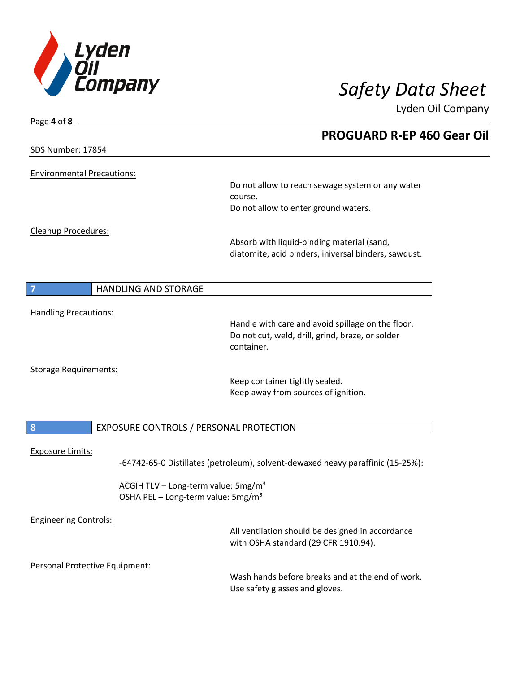

| Page 4 of $8 -$                   |                                                 |                                                                                                       |
|-----------------------------------|-------------------------------------------------|-------------------------------------------------------------------------------------------------------|
|                                   |                                                 | <b>PROGUARD R-EP 460 Gear Oil</b>                                                                     |
| SDS Number: 17854                 |                                                 |                                                                                                       |
|                                   |                                                 |                                                                                                       |
| <b>Environmental Precautions:</b> |                                                 |                                                                                                       |
|                                   |                                                 | Do not allow to reach sewage system or any water                                                      |
|                                   |                                                 | course.<br>Do not allow to enter ground waters.                                                       |
|                                   |                                                 |                                                                                                       |
| Cleanup Procedures:               |                                                 |                                                                                                       |
|                                   |                                                 | Absorb with liquid-binding material (sand,                                                            |
|                                   |                                                 | diatomite, acid binders, iniversal binders, sawdust.                                                  |
|                                   |                                                 |                                                                                                       |
| $\overline{7}$                    | <b>HANDLING AND STORAGE</b>                     |                                                                                                       |
|                                   |                                                 |                                                                                                       |
| <b>Handling Precautions:</b>      |                                                 |                                                                                                       |
|                                   |                                                 | Handle with care and avoid spillage on the floor.<br>Do not cut, weld, drill, grind, braze, or solder |
|                                   |                                                 | container.                                                                                            |
|                                   |                                                 |                                                                                                       |
| <b>Storage Requirements:</b>      |                                                 |                                                                                                       |
|                                   |                                                 | Keep container tightly sealed.                                                                        |
|                                   |                                                 | Keep away from sources of ignition.                                                                   |
|                                   |                                                 |                                                                                                       |
| 8                                 | EXPOSURE CONTROLS / PERSONAL PROTECTION         |                                                                                                       |
|                                   |                                                 |                                                                                                       |
| <b>Exposure Limits:</b>           |                                                 |                                                                                                       |
|                                   |                                                 | -64742-65-0 Distillates (petroleum), solvent-dewaxed heavy paraffinic (15-25%):                       |
|                                   | ACGIH TLV - Long-term value: 5mg/m <sup>3</sup> |                                                                                                       |
|                                   | OSHA PEL - Long-term value: 5mg/m <sup>3</sup>  |                                                                                                       |
|                                   |                                                 |                                                                                                       |
| <b>Engineering Controls:</b>      |                                                 |                                                                                                       |
|                                   |                                                 | All ventilation should be designed in accordance<br>with OSHA standard (29 CFR 1910.94).              |
|                                   |                                                 |                                                                                                       |
| Personal Protective Equipment:    |                                                 |                                                                                                       |
|                                   |                                                 | Wash hands before breaks and at the end of work.                                                      |
|                                   |                                                 | Use safety glasses and gloves.                                                                        |
|                                   |                                                 |                                                                                                       |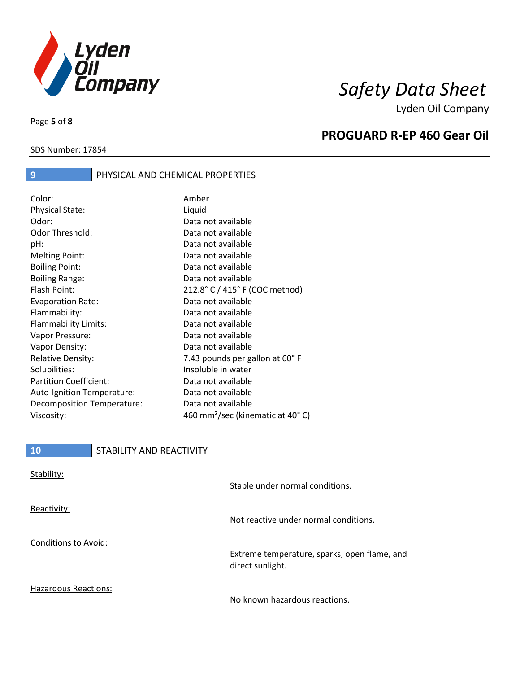

SDS Number: 17854

Page **5** of **8**

## **PROGUARD R-EP 460 Gear Oil**

# **9 PHYSICAL AND CHEMICAL PROPERTIES**

| Color:                        | Amber                                        |
|-------------------------------|----------------------------------------------|
| Physical State:               | Liquid                                       |
| Odor:                         | Data not available                           |
| Odor Threshold:               | Data not available                           |
| pH:                           | Data not available                           |
| <b>Melting Point:</b>         | Data not available                           |
| <b>Boiling Point:</b>         | Data not available                           |
| <b>Boiling Range:</b>         | Data not available                           |
| Flash Point:                  | 212.8° C / 415° F (COC method)               |
| <b>Evaporation Rate:</b>      | Data not available                           |
| Flammability:                 | Data not available                           |
| Flammability Limits:          | Data not available                           |
| Vapor Pressure:               | Data not available                           |
| Vapor Density:                | Data not available                           |
| <b>Relative Density:</b>      | 7.43 pounds per gallon at 60°F               |
| Solubilities:                 | Insoluble in water                           |
| <b>Partition Coefficient:</b> | Data not available                           |
| Auto-Ignition Temperature:    | Data not available                           |
| Decomposition Temperature:    | Data not available                           |
| Viscosity:                    | 460 mm <sup>2</sup> /sec (kinematic at 40°C) |

| <b>10</b>            | STABILITY AND REACTIVITY |                                              |
|----------------------|--------------------------|----------------------------------------------|
| Stability:           |                          | Stable under normal conditions.              |
| Reactivity:          |                          | Not reactive under normal conditions.        |
| Conditions to Avoid: |                          | Extreme temperature, sparks, open flame, and |

Hazardous Reactions:

No known hazardous reactions.

direct sunlight.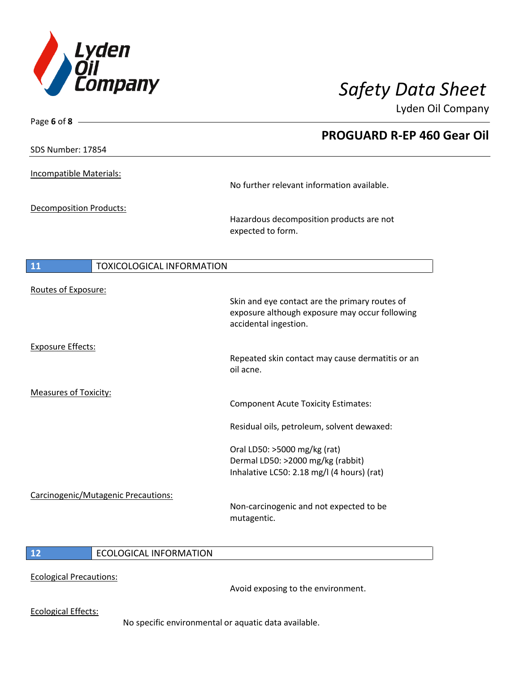

| Page 6 of 8 $-$                               |                                                                                                                           |
|-----------------------------------------------|---------------------------------------------------------------------------------------------------------------------------|
|                                               | <b>PROGUARD R-EP 460 Gear Oil</b>                                                                                         |
| SDS Number: 17854                             |                                                                                                                           |
| <b>Incompatible Materials:</b>                | No further relevant information available.                                                                                |
|                                               |                                                                                                                           |
| Decomposition Products:                       | Hazardous decomposition products are not<br>expected to form.                                                             |
| <b>11</b><br><b>TOXICOLOGICAL INFORMATION</b> |                                                                                                                           |
| Routes of Exposure:                           | Skin and eye contact are the primary routes of<br>exposure although exposure may occur following<br>accidental ingestion. |
| <b>Exposure Effects:</b>                      | Repeated skin contact may cause dermatitis or an<br>oil acne.                                                             |
| <b>Measures of Toxicity:</b>                  | <b>Component Acute Toxicity Estimates:</b>                                                                                |
|                                               | Residual oils, petroleum, solvent dewaxed:                                                                                |
|                                               | Oral LD50: >5000 mg/kg (rat)<br>Dermal LD50: >2000 mg/kg (rabbit)<br>Inhalative LC50: 2.18 mg/l (4 hours) (rat)           |
| Carcinogenic/Mutagenic Precautions:           | Non-carcinogenic and not expected to be<br>mutagentic.                                                                    |
|                                               |                                                                                                                           |

## **12** ECOLOGICAL INFORMATION

Ecological Precautions:

Avoid exposing to the environment.

Ecological Effects:

No specific environmental or aquatic data available.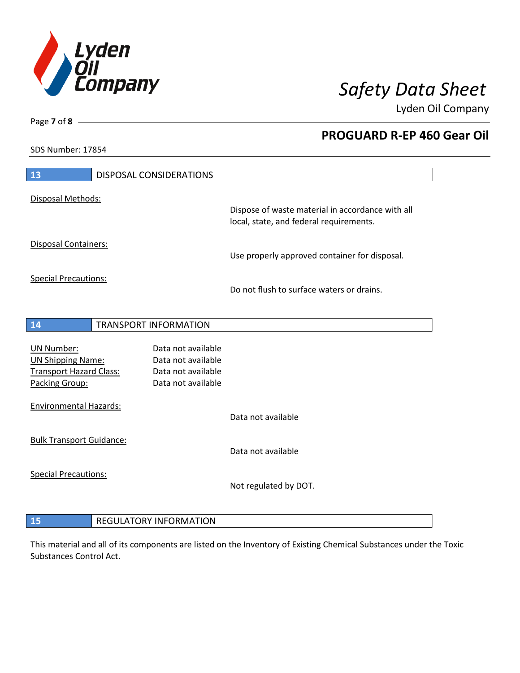

**PROGUARD R-EP 460 Gear Oil**

Lyden Oil Company

SDS Number: 17854

Page **7** of **8**

| 13                                                                                                | DISPOSAL CONSIDERATIONS                                                              |                                                                                             |
|---------------------------------------------------------------------------------------------------|--------------------------------------------------------------------------------------|---------------------------------------------------------------------------------------------|
| Disposal Methods:                                                                                 |                                                                                      |                                                                                             |
|                                                                                                   |                                                                                      | Dispose of waste material in accordance with all<br>local, state, and federal requirements. |
| Disposal Containers:                                                                              |                                                                                      | Use properly approved container for disposal.                                               |
| <b>Special Precautions:</b>                                                                       |                                                                                      | Do not flush to surface waters or drains.                                                   |
| 14                                                                                                | <b>TRANSPORT INFORMATION</b>                                                         |                                                                                             |
| <b>UN Number:</b><br><b>UN Shipping Name:</b><br><b>Transport Hazard Class:</b><br>Packing Group: | Data not available<br>Data not available<br>Data not available<br>Data not available |                                                                                             |
| <b>Environmental Hazards:</b>                                                                     |                                                                                      | Data not available                                                                          |
| <b>Bulk Transport Guidance:</b>                                                                   |                                                                                      | Data not available                                                                          |
| <b>Special Precautions:</b>                                                                       |                                                                                      | Not regulated by DOT.                                                                       |
| 15                                                                                                | <b>REGULATORY INFORMATION</b>                                                        |                                                                                             |

This material and all of its components are listed on the Inventory of Existing Chemical Substances under the Toxic Substances Control Act.